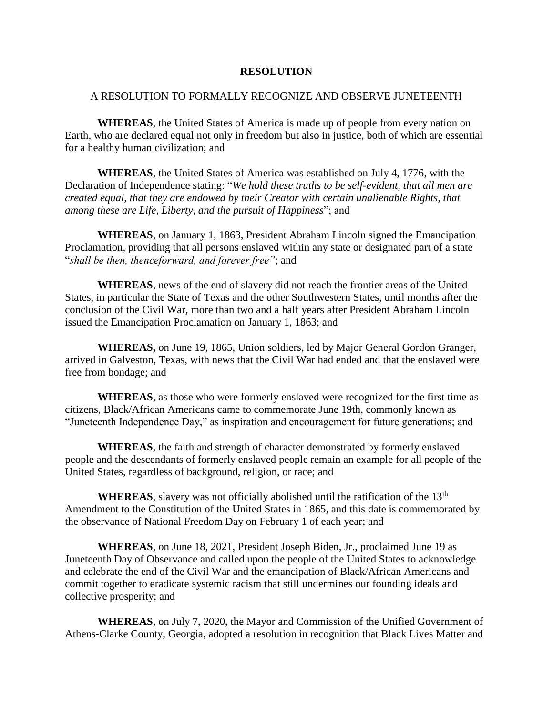## **RESOLUTION**

## A RESOLUTION TO FORMALLY RECOGNIZE AND OBSERVE JUNETEENTH

**WHEREAS**, the United States of America is made up of people from every nation on Earth, who are declared equal not only in freedom but also in justice, both of which are essential for a healthy human civilization; and

**WHEREAS**, the United States of America was established on July 4, 1776, with the Declaration of Independence stating: "*We hold these truths to be self-evident, that all men are created equal, that they are endowed by their Creator with certain unalienable Rights, that among these are Life, Liberty, and the pursuit of Happiness*"; and

**WHEREAS**, on January 1, 1863, President Abraham Lincoln signed the Emancipation Proclamation, providing that all persons enslaved within any state or designated part of a state "*shall be then, thenceforward, and forever free"*; and

**WHEREAS**, news of the end of slavery did not reach the frontier areas of the United States, in particular the State of Texas and the other Southwestern States, until months after the conclusion of the Civil War, more than two and a half years after President Abraham Lincoln issued the Emancipation Proclamation on January 1, 1863; and

**WHEREAS,** on June 19, 1865, Union soldiers, led by Major General Gordon Granger, arrived in Galveston, Texas, with news that the Civil War had ended and that the enslaved were free from bondage; and

**WHEREAS**, as those who were formerly enslaved were recognized for the first time as citizens, Black/African Americans came to commemorate June 19th, commonly known as "Juneteenth Independence Day," as inspiration and encouragement for future generations; and

**WHEREAS**, the faith and strength of character demonstrated by formerly enslaved people and the descendants of formerly enslaved people remain an example for all people of the United States, regardless of background, religion, or race; and

**WHEREAS**, slavery was not officially abolished until the ratification of the 13<sup>th</sup> Amendment to the Constitution of the United States in 1865, and this date is commemorated by the observance of National Freedom Day on February 1 of each year; and

**WHEREAS**, on June 18, 2021, President Joseph Biden, Jr., proclaimed June 19 as Juneteenth Day of Observance and called upon the people of the United States to acknowledge and celebrate the end of the Civil War and the emancipation of Black/African Americans and commit together to eradicate systemic racism that still undermines our founding ideals and collective prosperity; and

**WHEREAS**, on July 7, 2020, the Mayor and Commission of the Unified Government of Athens-Clarke County, Georgia, adopted a resolution in recognition that Black Lives Matter and